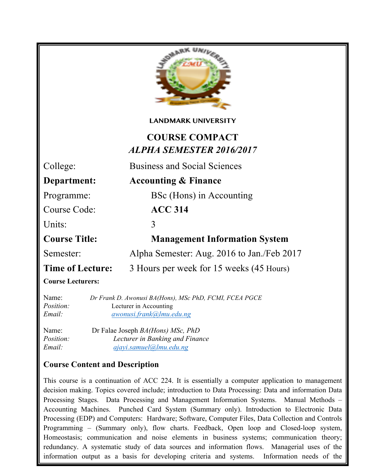

#### **LANDMARK UNIVERSITY**

# **COURSE COMPACT** *ALPHA SEMESTER 2016/2017*

College: Business and Social Sciences

**Department: Accounting & Finance**

Programme: BSc (Hons) in Accounting

Course Code: **ACC 314**

Units: 3

**Course Title: Management Information System**

Semester: Alpha Semester: Aug. 2016 to Jan./Feb 2017

**Time of Lecture:** 3 Hours per week for 15 weeks (45 Hours)

**Course Lecturers:**

Name: *Dr Frank D. Awonusi BA(Hons), MSc PhD, FCMI, FCEA PGCE Position:* Lecturer in Accounting *Email: awonusi.frank@lmu.edu.ng*

Name: Dr Falae Joseph *BA(Hons) MSc, PhD Position: Lecturer in Banking and Finance Email: ajayi.samuel@lmu.edu.ng*

management. Design of management information system.

# **Course Content and Description**

Programming – (Summary only), flow charts. Feedback, Open loop and Closed-loop system, This course is a continuation of ACC 224. It is essentially a computer application to management decision making. Topics covered include; introduction to Data Processing: Data and information Data Processing Stages. Data Processing and Management Information Systems. Manual Methods – Accounting Machines. Punched Card System (Summary only). Introduction to Electronic Data Processing (EDP) and Computers: Hardware; Software, Computer Files, Data Collection and Controls Homeostasis; communication and noise elements in business systems; communication theory; redundancy. A systematic study of data sources and information flows. Managerial uses of the information output as a basis for developing criteria and systems. Information needs of the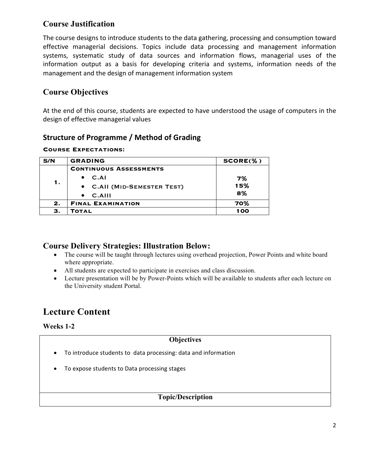# **Course Justification**

The course designs to introduce students to the data gathering, processing and consumption toward effective managerial decisions. Topics include data processing and management information systems, systematic study of data sources and information flows, managerial uses of the information output as a basis for developing criteria and systems, information needs of the management and the design of management information system

# **Course Objectives**

At the end of this course, students are expected to have understood the usage of computers in the design of effective managerial values

## **Structure of Programme / Method of Grading**

#### **Course Expectations:**

| S/N | <b>GRADING</b>                | $SCORE(\% )$ |
|-----|-------------------------------|--------------|
| 1.  | <b>CONTINUOUS ASSESSMENTS</b> |              |
|     | C.AI                          | 7%           |
|     | • C.AII (MID-SEMESTER TEST)   | 15%          |
|     | $C.$ AIII                     | 8%           |
| 2.  | <b>FINAL EXAMINATION</b>      | 70%          |
| З.  | <b>TOTAL</b>                  | 100          |

### **Course Delivery Strategies: Illustration Below:**

- The course will be taught through lectures using overhead projection, Power Points and white board where appropriate.
- All students are expected to participate in exercises and class discussion.
- Lecture presentation will be by Power-Points which will be available to students after each lecture on the University student Portal.

# **Lecture Content**

**Weeks 1-2**

### **Objectives**

- To introduce students to data processing: data and information
- To expose students to Data processing stages

### **Topic/Description**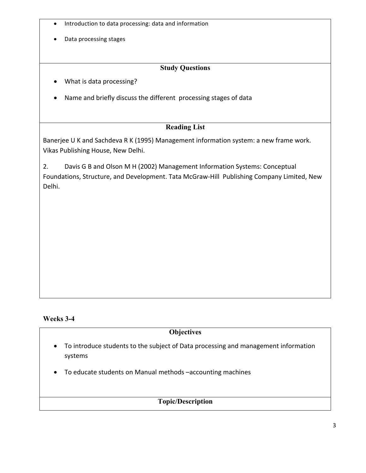- Introduction to data processing: data and information
- Data processing stages

### **Study Questions**

- What is data processing?
- Name and briefly discuss the different processing stages of data

#### **Reading List**

Banerjee U K and Sachdeva R K (1995) Management information system: a new frame work. Vikas Publishing House, New Delhi.

2. Davis G B and Olson M H (2002) Management Information Systems: Conceptual Foundations, Structure, and Development. Tata McGraw-Hill Publishing Company Limited, New Delhi.

#### **Weeks 3-4**

#### **Objectives**

- To introduce students to the subject of Data processing and management information systems
- To educate students on Manual methods -accounting machines

#### **Topic/Description**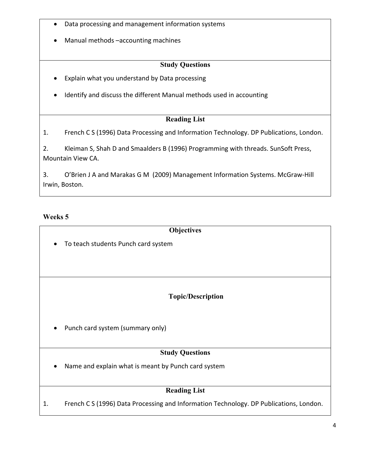- Data processing and management information systems
- Manual methods -accounting machines

#### **Study Questions**

- Explain what you understand by Data processing
- Identify and discuss the different Manual methods used in accounting

#### **Reading List**

1. French C S (1996) Data Processing and Information Technology. DP Publications, London.

2. Kleiman S, Shah D and Smaalders B (1996) Programming with threads. SunSoft Press, Mountain View CA. 

3. O'Brien J A and Marakas G M (2009) Management Information Systems. McGraw-Hill Irwin, Boston.

#### **Weeks 5**

| Objectives                                                       |
|------------------------------------------------------------------|
| To teach students Punch card system<br>$\bullet$                 |
|                                                                  |
|                                                                  |
|                                                                  |
|                                                                  |
| <b>Topic/Description</b>                                         |
| Punch card system (summary only)<br>$\bullet$                    |
| <b>Study Questions</b>                                           |
| Name and explain what is meant by Punch card system<br>$\bullet$ |
| <b>Reading List</b>                                              |

1. French C S (1996) Data Processing and Information Technology. DP Publications, London.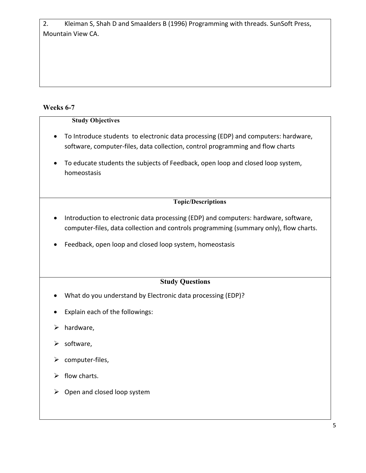2. Kleiman S, Shah D and Smaalders B (1996) Programming with threads. SunSoft Press, Mountain View CA. 

## **Weeks 6-7**

### **Study Objectives**

- To Introduce students to electronic data processing (EDP) and computers: hardware, software, computer-files, data collection, control programming and flow charts
- To educate students the subjects of Feedback, open loop and closed loop system, homeostasis

#### **Topic/Descriptions**

- Introduction to electronic data processing (EDP) and computers: hardware, software, computer-files, data collection and controls programming (summary only), flow charts.
- Feedback, open loop and closed loop system, homeostasis

## **Study Questions**

- What do you understand by Electronic data processing (EDP)?
- Explain each of the followings:
- $\triangleright$  hardware,
- $\triangleright$  software,
- $\triangleright$  computer-files,
- $\triangleright$  flow charts.
- $\triangleright$  Open and closed loop system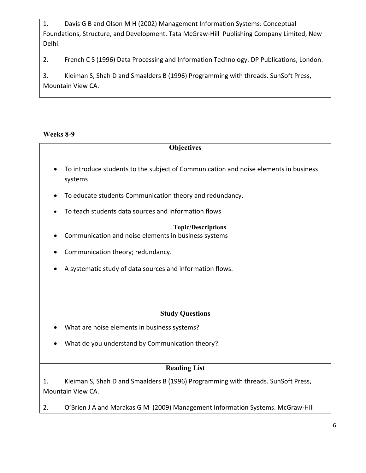1. Davis G B and Olson M H (2002) Management Information Systems: Conceptual Foundations, Structure, and Development. Tata McGraw-Hill Publishing Company Limited, New Delhi.

2. French C S (1996) Data Processing and Information Technology. DP Publications, London.

3. Kleiman S, Shah D and Smaalders B (1996) Programming with threads. SunSoft Press, Mountain View CA.

#### **Weeks 8-9**

| <b>Objectives</b>                                                                                            |  |  |  |  |
|--------------------------------------------------------------------------------------------------------------|--|--|--|--|
| To introduce students to the subject of Communication and noise elements in business<br>$\bullet$<br>systems |  |  |  |  |
| To educate students Communication theory and redundancy.                                                     |  |  |  |  |
| To teach students data sources and information flows                                                         |  |  |  |  |
| <b>Topic/Descriptions</b>                                                                                    |  |  |  |  |
| Communication and noise elements in business systems                                                         |  |  |  |  |
| Communication theory; redundancy.                                                                            |  |  |  |  |
| A systematic study of data sources and information flows.                                                    |  |  |  |  |
|                                                                                                              |  |  |  |  |
| <b>Study Questions</b>                                                                                       |  |  |  |  |
| What are noise elements in business systems?                                                                 |  |  |  |  |
| What do you understand by Communication theory?.                                                             |  |  |  |  |
| <b>Reading List</b>                                                                                          |  |  |  |  |
| Kleiman S, Shah D and Smaalders B (1996) Programming with threads. SunSoft Press,<br>1.<br>Mountain View CA. |  |  |  |  |

2. O'Brien J A and Marakas G M (2009) Management Information Systems. McGraw-Hill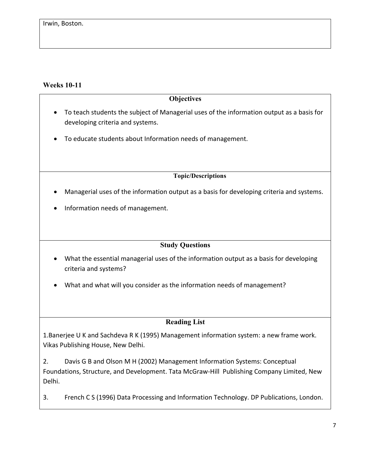### **Weeks 10-11**

#### **Objectives**

- To teach students the subject of Managerial uses of the information output as a basis for developing criteria and systems.
- To educate students about Information needs of management.

**Topic/Descriptions**

- Managerial uses of the information output as a basis for developing criteria and systems.
- Information needs of management.

#### **Study Questions**

- What the essential managerial uses of the information output as a basis for developing criteria and systems?
- What and what will you consider as the information needs of management?

#### **Reading List**

1.Banerjee U K and Sachdeva R K (1995) Management information system: a new frame work. Vikas Publishing House, New Delhi.

2. Davis G B and Olson M H (2002) Management Information Systems: Conceptual Foundations, Structure, and Development. Tata McGraw-Hill Publishing Company Limited, New Delhi.

3. French C S (1996) Data Processing and Information Technology. DP Publications, London.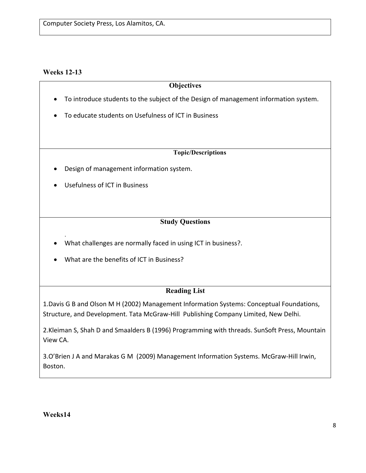#### **Weeks 12-13**

.

#### **Objectives**

- To introduce students to the subject of the Design of management information system.
- To educate students on Usefulness of ICT in Business

#### **Topic/Descriptions**

- Design of management information system.
- Usefulness of ICT in Business

### **Study Questions**

- What challenges are normally faced in using ICT in business?.
- What are the benefits of ICT in Business?

## **Reading List**

1.Davis G B and Olson M H (2002) Management Information Systems: Conceptual Foundations, Structure, and Development. Tata McGraw-Hill Publishing Company Limited, New Delhi.

2. Kleiman S, Shah D and Smaalders B (1996) Programming with threads. SunSoft Press, Mountain View CA. 

3.O'Brien J A and Marakas G M (2009) Management Information Systems. McGraw-Hill Irwin, Boston.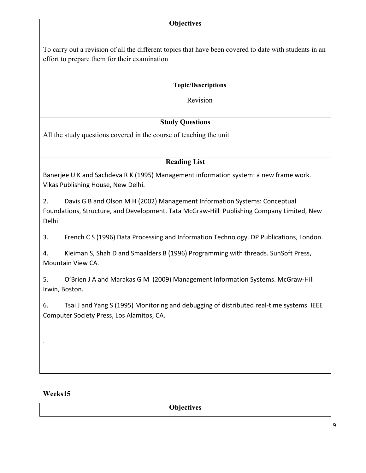### **Objectives**

To carry out a revision of all the different topics that have been covered to date with students in an effort to prepare them for their examination

#### **Topic/Descriptions**

Revision

## **Study Questions**

All the study questions covered in the course of teaching the unit

#### **Reading List**

Banerjee U K and Sachdeva R K (1995) Management information system: a new frame work. Vikas Publishing House, New Delhi.

2. Davis G B and Olson M H (2002) Management Information Systems: Conceptual Foundations, Structure, and Development. Tata McGraw-Hill Publishing Company Limited, New Delhi.

3. French C S (1996) Data Processing and Information Technology. DP Publications, London.

4. Kleiman S, Shah D and Smaalders B (1996) Programming with threads. SunSoft Press, Mountain View CA. 

5. O'Brien J A and Marakas G M (2009) Management Information Systems. McGraw-Hill Irwin, Boston.

6. Tsai J and Yang S (1995) Monitoring and debugging of distributed real-time systems. IEEE Computer Society Press, Los Alamitos, CA.

#### **Weeks15**

.

**Objectives**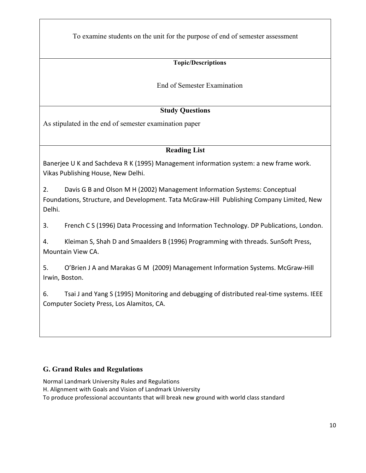To examine students on the unit for the purpose of end of semester assessment

## **Topic/Descriptions**

End of Semester Examination

## **Study Questions**

As stipulated in the end of semester examination paper

### **Reading List**

Banerjee U K and Sachdeva R K (1995) Management information system: a new frame work. Vikas Publishing House, New Delhi.

2. Davis G B and Olson M H (2002) Management Information Systems: Conceptual Foundations, Structure, and Development. Tata McGraw-Hill Publishing Company Limited, New Delhi.

3. French C S (1996) Data Processing and Information Technology. DP Publications, London.

4. Kleiman S, Shah D and Smaalders B (1996) Programming with threads. SunSoft Press, Mountain View CA. 

5. O'Brien J A and Marakas G M (2009) Management Information Systems. McGraw-Hill Irwin, Boston.

6. Tsai J and Yang S (1995) Monitoring and debugging of distributed real-time systems. IEEE Computer Society Press, Los Alamitos, CA.

#### **G. Grand Rules and Regulations**

Normal Landmark University Rules and Regulations

H. Alignment with Goals and Vision of Landmark University

To produce professional accountants that will break new ground with world class standard